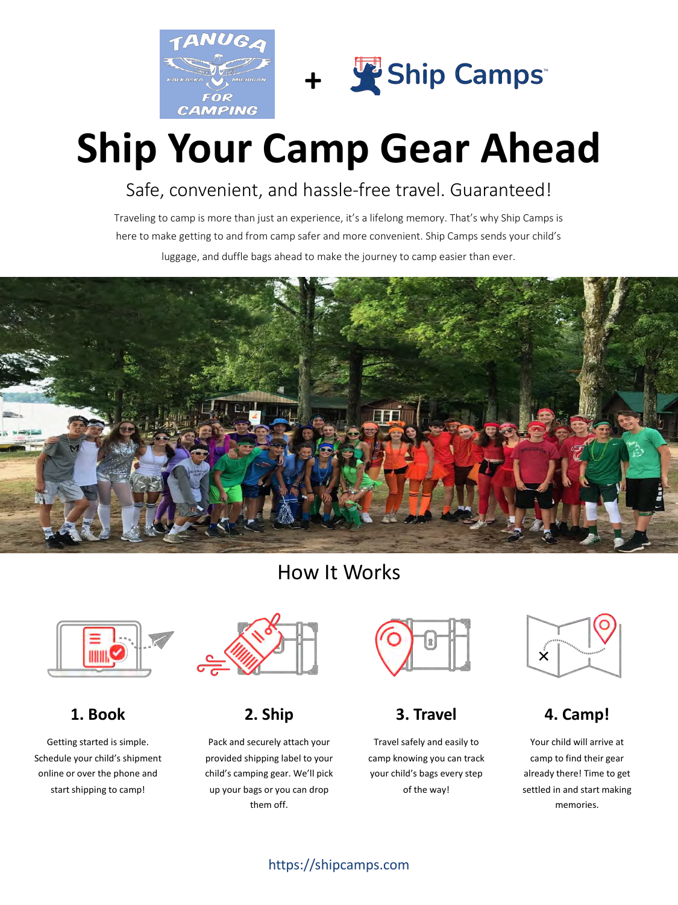



# **Ship Your Camp Gear Ahead**

Safe, convenient, and hassle-free travel. Guaranteed!

Traveling to camp is more than just an experience, it's a lifelong memory. That's why Ship Camps is here to make getting to and from camp safer and more convenient. Ship Camps sends your child's luggage, and duffle bags ahead to make the journey to camp easier than ever.



## How It Works



**1. Book**

Getting started is simple. Schedule your child's shipment online or over the phone and start shipping to camp!



## **2. Ship**

Pack and securely attach your provided shipping label to your child's camping gear. We'll pick up your bags or you can drop them off.



## **3. Travel**

Travel safely and easily to camp knowing you can track your child's bags every step of the way!



## **4. Camp!**

Your child will arrive at camp to find their gear already there! Time to get settled in and start making memories.

### https://shipcamps.com